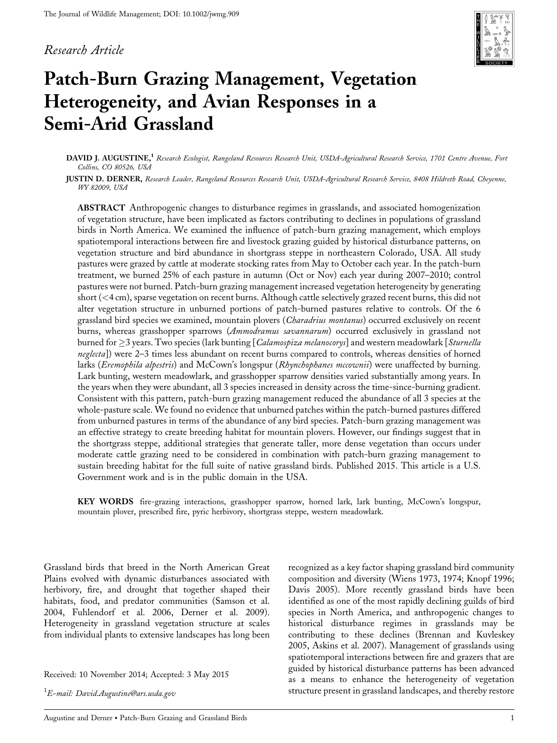### Research Article



# Patch-Burn Grazing Management, Vegetation Heterogeneity, and Avian Responses in a Semi-Arid Grassland

DAVID J. AUGUSTINE,<sup>1</sup> Research Ecologist, Rangeland Resources Research Unit, USDA-Agricultural Research Service, 1701 Centre Avenue, Fort Collins, CO 80526, USA

JUSTIN D. DERNER, Research Leader, Rangeland Resources Research Unit, USDA-Agricultural Research Service, 8408 Hildreth Road, Cheyenne, WY 82009, USA

ABSTRACT Anthropogenic changes to disturbance regimes in grasslands, and associated homogenization of vegetation structure, have been implicated as factors contributing to declines in populations of grassland birds in North America. We examined the influence of patch-burn grazing management, which employs spatiotemporal interactions between fire and livestock grazing guided by historical disturbance patterns, on vegetation structure and bird abundance in shortgrass steppe in northeastern Colorado, USA. All study pastures were grazed by cattle at moderate stocking rates from May to October each year. In the patch-burn treatment, we burned 25% of each pasture in autumn (Oct or Nov) each year during 2007–2010; control pastures were not burned. Patch-burn grazing management increased vegetation heterogeneity by generating short (<4 cm), sparse vegetation on recent burns. Although cattle selectively grazed recent burns, this did not alter vegetation structure in unburned portions of patch-burned pastures relative to controls. Of the 6 grassland bird species we examined, mountain plovers (Charadrius montanus) occurred exclusively on recent burns, whereas grasshopper sparrows (*Ammodramus savannarum*) occurred exclusively in grassland not burned for  $\geq$ 3 years. Two species (lark bunting [*Calamospiza melanocorys*] and western meadowlark [*Sturnella* neglecta]) were 2–3 times less abundant on recent burns compared to controls, whereas densities of horned larks (Eremophila alpestris) and McCown's longspur (Rhynchophanes mccownii) were unaffected by burning. Lark bunting, western meadowlark, and grasshopper sparrow densities varied substantially among years. In the years when they were abundant, all 3 species increased in density across the time-since-burning gradient. Consistent with this pattern, patch-burn grazing management reduced the abundance of all 3 species at the whole-pasture scale. We found no evidence that unburned patches within the patch-burned pastures differed from unburned pastures in terms of the abundance of any bird species. Patch-burn grazing management was an effective strategy to create breeding habitat for mountain plovers. However, our findings suggest that in the shortgrass steppe, additional strategies that generate taller, more dense vegetation than occurs under moderate cattle grazing need to be considered in combination with patch-burn grazing management to sustain breeding habitat for the full suite of native grassland birds. Published 2015. This article is a U.S. Government work and is in the public domain in the USA.

KEY WORDS fire-grazing interactions, grasshopper sparrow, horned lark, lark bunting, McCown's longspur, mountain plover, prescribed fire, pyric herbivory, shortgrass steppe, western meadowlark.

Grassland birds that breed in the North American Great Plains evolved with dynamic disturbances associated with herbivory, fire, and drought that together shaped their habitats, food, and predator communities (Samson et al. 2004, Fuhlendorf et al. 2006, Derner et al. 2009). Heterogeneity in grassland vegetation structure at scales from individual plants to extensive landscapes has long been

Received: 10 November 2014; Accepted: 3 May 2015

 $^1\!E$ -mail: David.Augustine@ars.usda.gov

recognized as a key factor shaping grassland bird community composition and diversity (Wiens 1973, 1974; Knopf 1996; Davis 2005). More recently grassland birds have been identified as one of the most rapidly declining guilds of bird species in North America, and anthropogenic changes to historical disturbance regimes in grasslands may be contributing to these declines (Brennan and Kuvleskey 2005, Askins et al. 2007). Management of grasslands using spatiotemporal interactions between fire and grazers that are guided by historical disturbance patterns has been advanced as a means to enhance the heterogeneity of vegetation structure present in grassland landscapes, and thereby restore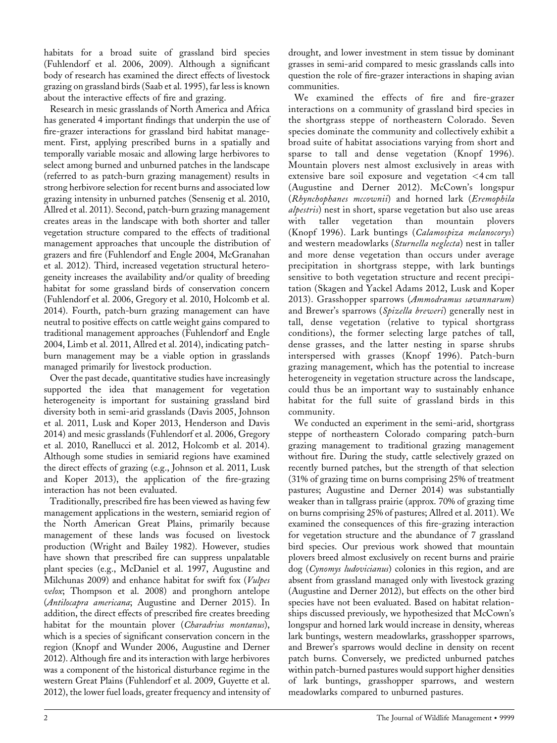habitats for a broad suite of grassland bird species (Fuhlendorf et al. 2006, 2009). Although a significant body of research has examined the direct effects of livestock grazing on grassland birds (Saab et al. 1995), far less is known about the interactive effects of fire and grazing.

Research in mesic grasslands of North America and Africa has generated 4 important findings that underpin the use of fire-grazer interactions for grassland bird habitat management. First, applying prescribed burns in a spatially and temporally variable mosaic and allowing large herbivores to select among burned and unburned patches in the landscape (referred to as patch-burn grazing management) results in strong herbivore selection for recent burns and associated low grazing intensity in unburned patches (Sensenig et al. 2010, Allred et al. 2011). Second, patch-burn grazing management creates areas in the landscape with both shorter and taller vegetation structure compared to the effects of traditional management approaches that uncouple the distribution of grazers and fire (Fuhlendorf and Engle 2004, McGranahan et al. 2012). Third, increased vegetation structural heterogeneity increases the availability and/or quality of breeding habitat for some grassland birds of conservation concern (Fuhlendorf et al. 2006, Gregory et al. 2010, Holcomb et al. 2014). Fourth, patch-burn grazing management can have neutral to positive effects on cattle weight gains compared to traditional management approaches (Fuhlendorf and Engle 2004, Limb et al. 2011, Allred et al. 2014), indicating patchburn management may be a viable option in grasslands managed primarily for livestock production.

Over the past decade, quantitative studies have increasingly supported the idea that management for vegetation heterogeneity is important for sustaining grassland bird diversity both in semi-arid grasslands (Davis 2005, Johnson et al. 2011, Lusk and Koper 2013, Henderson and Davis 2014) and mesic grasslands (Fuhlendorf et al. 2006, Gregory et al. 2010, Ranellucci et al. 2012, Holcomb et al. 2014). Although some studies in semiarid regions have examined the direct effects of grazing (e.g., Johnson et al. 2011, Lusk and Koper 2013), the application of the fire-grazing interaction has not been evaluated.

Traditionally, prescribed fire has been viewed as having few management applications in the western, semiarid region of the North American Great Plains, primarily because management of these lands was focused on livestock production (Wright and Bailey 1982). However, studies have shown that prescribed fire can suppress unpalatable plant species (e.g., McDaniel et al. 1997, Augustine and Milchunas 2009) and enhance habitat for swift fox (Vulpes velox; Thompson et al. 2008) and pronghorn antelope (Antilocapra americana; Augustine and Derner 2015). In addition, the direct effects of prescribed fire creates breeding habitat for the mountain plover (Charadrius montanus), which is a species of significant conservation concern in the region (Knopf and Wunder 2006, Augustine and Derner 2012). Although fire and its interaction with large herbivores was a component of the historical disturbance regime in the western Great Plains (Fuhlendorf et al. 2009, Guyette et al. 2012), the lower fuel loads, greater frequency and intensity of

drought, and lower investment in stem tissue by dominant grasses in semi-arid compared to mesic grasslands calls into question the role of fire-grazer interactions in shaping avian communities.

We examined the effects of fire and fire-grazer interactions on a community of grassland bird species in the shortgrass steppe of northeastern Colorado. Seven species dominate the community and collectively exhibit a broad suite of habitat associations varying from short and sparse to tall and dense vegetation (Knopf 1996). Mountain plovers nest almost exclusively in areas with extensive bare soil exposure and vegetation <4 cm tall (Augustine and Derner 2012). McCown's longspur (Rhynchophanes mccownii) and horned lark (Eremophila alpestris) nest in short, sparse vegetation but also use areas with taller vegetation than mountain plovers (Knopf 1996). Lark buntings (Calamospiza melanocorys) and western meadowlarks (Sturnella neglecta) nest in taller and more dense vegetation than occurs under average precipitation in shortgrass steppe, with lark buntings sensitive to both vegetation structure and recent precipitation (Skagen and Yackel Adams 2012, Lusk and Koper 2013). Grasshopper sparrows (Ammodramus savannarum) and Brewer's sparrows (Spizella breweri) generally nest in tall, dense vegetation (relative to typical shortgrass conditions), the former selecting large patches of tall, dense grasses, and the latter nesting in sparse shrubs interspersed with grasses (Knopf 1996). Patch-burn grazing management, which has the potential to increase heterogeneity in vegetation structure across the landscape, could thus be an important way to sustainably enhance habitat for the full suite of grassland birds in this community.

We conducted an experiment in the semi-arid, shortgrass steppe of northeastern Colorado comparing patch-burn grazing management to traditional grazing management without fire. During the study, cattle selectively grazed on recently burned patches, but the strength of that selection (31% of grazing time on burns comprising 25% of treatment pastures; Augustine and Derner 2014) was substantially weaker than in tallgrass prairie (approx. 70% of grazing time on burns comprising 25% of pastures; Allred et al. 2011). We examined the consequences of this fire-grazing interaction for vegetation structure and the abundance of 7 grassland bird species. Our previous work showed that mountain plovers breed almost exclusively on recent burns and prairie dog (Cynomys ludovicianus) colonies in this region, and are absent from grassland managed only with livestock grazing (Augustine and Derner 2012), but effects on the other bird species have not been evaluated. Based on habitat relationships discussed previously, we hypothesized that McCown's longspur and horned lark would increase in density, whereas lark buntings, western meadowlarks, grasshopper sparrows, and Brewer's sparrows would decline in density on recent patch burns. Conversely, we predicted unburned patches within patch-burned pastures would support higher densities of lark buntings, grasshopper sparrows, and western meadowlarks compared to unburned pastures.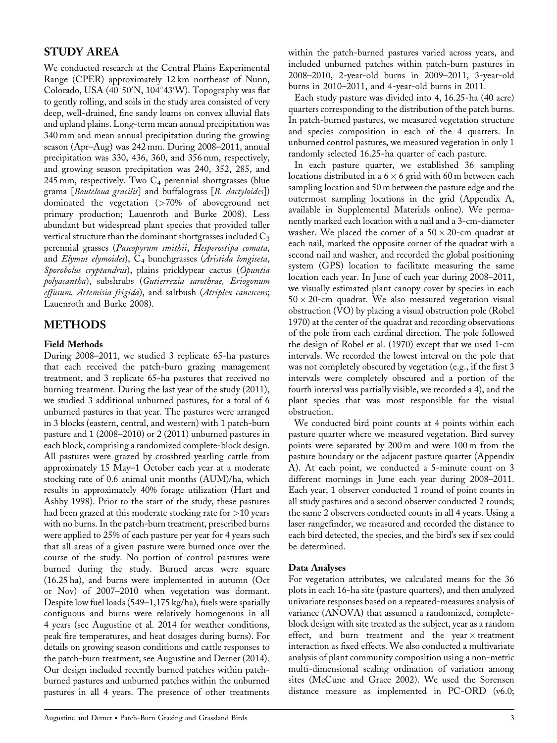## STUDY AREA

We conducted research at the Central Plains Experimental Range (CPER) approximately 12 km northeast of Nunn, Colorado, USA (40°50′N, 104°43′W). Topography was flat to gently rolling, and soils in the study area consisted of very deep, well-drained, fine sandy loams on convex alluvial flats and upland plains. Long-term mean annual precipitation was 340 mm and mean annual precipitation during the growing season (Apr–Aug) was 242 mm. During 2008–2011, annual precipitation was 330, 436, 360, and 356 mm, respectively, and growing season precipitation was 240, 352, 285, and 245 mm, respectively. Two  $C_4$  perennial shortgrasses (blue grama [Bouteloua gracilis] and buffalograss [B. dactyloides]) dominated the vegetation (>70% of aboveground net primary production; Lauenroth and Burke 2008). Less abundant but widespread plant species that provided taller vertical structure than the dominant shortgrasses included  $C_3$ perennial grasses (Pascopyrum smithii, Hesperostipa comata, and Elymus elymoides),  $C_4$  bunchgrasses (Aristida longiseta, Sporobolus cryptandrus), plains pricklypear cactus (Opuntia polyacantha), subshrubs (Gutierrezia sarothrae, Eriogonum effusum, Artemisia frigida), and saltbush (Atriplex canescens; Lauenroth and Burke 2008).

## METHODS

#### Field Methods

During 2008–2011, we studied 3 replicate 65-ha pastures that each received the patch-burn grazing management treatment, and 3 replicate 65-ha pastures that received no burning treatment. During the last year of the study (2011), we studied 3 additional unburned pastures, for a total of 6 unburned pastures in that year. The pastures were arranged in 3 blocks (eastern, central, and western) with 1 patch-burn pasture and 1 (2008–2010) or 2 (2011) unburned pastures in each block, comprising a randomized complete-block design. All pastures were grazed by crossbred yearling cattle from approximately 15 May–1 October each year at a moderate stocking rate of 0.6 animal unit months (AUM)/ha, which results in approximately 40% forage utilization (Hart and Ashby 1998). Prior to the start of the study, these pastures had been grazed at this moderate stocking rate for >10 years with no burns. In the patch-burn treatment, prescribed burns were applied to 25% of each pasture per year for 4 years such that all areas of a given pasture were burned once over the course of the study. No portion of control pastures were burned during the study. Burned areas were square (16.25 ha), and burns were implemented in autumn (Oct or Nov) of 2007–2010 when vegetation was dormant. Despite low fuel loads (549–1,175 kg/ha), fuels were spatially contiguous and burns were relatively homogenous in all 4 years (see Augustine et al. 2014 for weather conditions, peak fire temperatures, and heat dosages during burns). For details on growing season conditions and cattle responses to the patch-burn treatment, see Augustine and Derner (2014). Our design included recently burned patches within patchburned pastures and unburned patches within the unburned pastures in all 4 years. The presence of other treatments

within the patch-burned pastures varied across years, and included unburned patches within patch-burn pastures in 2008–2010, 2-year-old burns in 2009–2011, 3-year-old burns in 2010–2011, and 4-year-old burns in 2011.

Each study pasture was divided into 4, 16.25-ha (40 acre) quarters corresponding to the distribution of the patch burns. In patch-burned pastures, we measured vegetation structure and species composition in each of the 4 quarters. In unburned control pastures, we measured vegetation in only 1 randomly selected 16.25-ha quarter of each pasture.

In each pasture quarter, we established 36 sampling locations distributed in a  $6 \times 6$  grid with 60 m between each sampling location and 50 m between the pasture edge and the outermost sampling locations in the grid (Appendix A, available in Supplemental Materials online). We permanently marked each location with a nail and a 3-cm-diameter washer. We placed the corner of a  $50 \times 20$ -cm quadrat at each nail, marked the opposite corner of the quadrat with a second nail and washer, and recorded the global positioning system (GPS) location to facilitate measuring the same location each year. In June of each year during 2008–2011, we visually estimated plant canopy cover by species in each  $50 \times 20$ -cm quadrat. We also measured vegetation visual obstruction (VO) by placing a visual obstruction pole (Robel 1970) at the center of the quadrat and recording observations of the pole from each cardinal direction. The pole followed the design of Robel et al. (1970) except that we used 1-cm intervals. We recorded the lowest interval on the pole that was not completely obscured by vegetation (e.g., if the first 3 intervals were completely obscured and a portion of the fourth interval was partially visible, we recorded a 4), and the plant species that was most responsible for the visual obstruction.

We conducted bird point counts at 4 points within each pasture quarter where we measured vegetation. Bird survey points were separated by 200 m and were 100 m from the pasture boundary or the adjacent pasture quarter (Appendix A). At each point, we conducted a 5-minute count on 3 different mornings in June each year during 2008–2011. Each year, 1 observer conducted 1 round of point counts in all study pastures and a second observer conducted 2 rounds; the same 2 observers conducted counts in all 4 years. Using a laser rangefinder, we measured and recorded the distance to each bird detected, the species, and the bird's sex if sex could be determined.

#### Data Analyses

For vegetation attributes, we calculated means for the 36 plots in each 16-ha site (pasture quarters), and then analyzed univariate responses based on a repeated-measures analysis of variance (ANOVA) that assumed a randomized, completeblock design with site treated as the subject, year as a random effect, and burn treatment and the year  $\times$  treatment interaction as fixed effects. We also conducted a multivariate analysis of plant community composition using a non-metric multi-dimensional scaling ordination of variation among sites (McCune and Grace 2002). We used the Sorensen distance measure as implemented in PC-ORD (v6.0;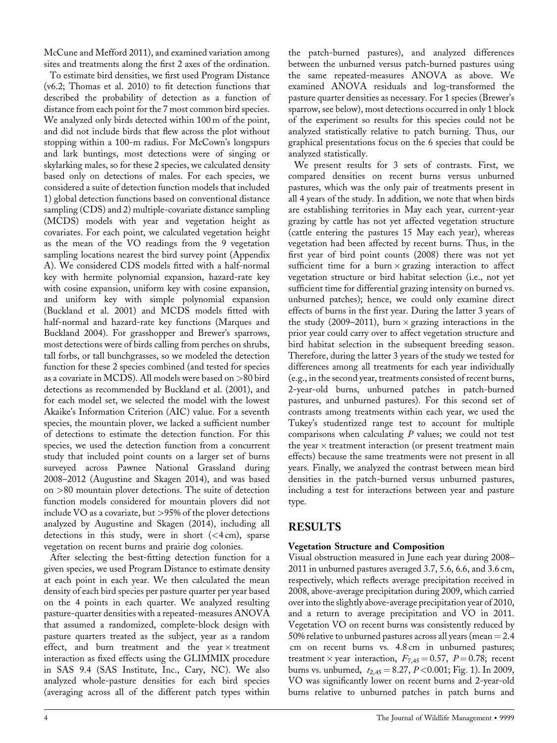McCune and Mefford 2011), and examined variation among sites and treatments along the first 2 axes of the ordination.

To estimate bird densities, we first used Program Distance (v6.2; Thomas et al. 2010) to fit detection functions that described the probability of detection as a function of distance from each point for the 7 most common bird species. We analyzed only birds detected within 100 m of the point, and did not include birds that flew across the plot without stopping within a 100-m radius. For McCown's longspurs and lark buntings, most detections were of singing or skylarking males, so for these 2 species, we calculated density based only on detections of males. For each species, we considered a suite of detection function models that included 1) global detection functions based on conventional distance sampling (CDS) and 2) multiple-covariate distance sampling (MCDS) models with year and vegetation height as covariates. For each point, we calculated vegetation height as the mean of the VO readings from the 9 vegetation sampling locations nearest the bird survey point (Appendix A). We considered CDS models fitted with a half-normal key with hermite polynomial expansion, hazard-rate key with cosine expansion, uniform key with cosine expansion, and uniform key with simple polynomial expansion (Buckland et al. 2001) and MCDS models fitted with half-normal and hazard-rate key functions (Marques and Buckland 2004). For grasshopper and Brewer's sparrows, most detections were of birds calling from perches on shrubs, tall forbs, or tall bunchgrasses, so we modeled the detection function for these 2 species combined (and tested for species as a covariate in MCDS). All models were based on >80 bird detections as recommended by Buckland et al. (2001), and for each model set, we selected the model with the lowest Akaike's Information Criterion (AIC) value. For a seventh species, the mountain plover, we lacked a sufficient number of detections to estimate the detection function. For this species, we used the detection function from a concurrent study that included point counts on a larger set of burns surveyed across Pawnee National Grassland during 2008–2012 (Augustine and Skagen 2014), and was based on >80 mountain plover detections. The suite of detection function models considered for mountain plovers did not include VO as a covariate, but >95% of the plover detections analyzed by Augustine and Skagen (2014), including all detections in this study, were in short  $( $4 \text{ cm}$ ), sparse$ vegetation on recent burns and prairie dog colonies.

After selecting the best-fitting detection function for a given species, we used Program Distance to estimate density at each point in each year. We then calculated the mean density of each bird species per pasture quarter per year based on the 4 points in each quarter. We analyzed resulting pasture-quarter densities with a repeated-measures ANOVA that assumed a randomized, complete-block design with pasture quarters treated as the subject, year as a random effect, and burn treatment and the year  $\times$  treatment interaction as fixed effects using the GLIMMIX procedure in SAS 9.4 (SAS Institute, Inc., Cary, NC). We also analyzed whole-pasture densities for each bird species (averaging across all of the different patch types within

the patch-burned pastures), and analyzed differences between the unburned versus patch-burned pastures using the same repeated-measures ANOVA as above. We examined ANOVA residuals and log-transformed the pasture quarter densities as necessary. For 1 species (Brewer's sparrow, see below), most detections occurred in only 1 block of the experiment so results for this species could not be analyzed statistically relative to patch burning. Thus, our graphical presentations focus on the 6 species that could be analyzed statistically.

We present results for 3 sets of contrasts. First, we compared densities on recent burns versus unburned pastures, which was the only pair of treatments present in all 4 years of the study. In addition, we note that when birds are establishing territories in May each year, current-year grazing by cattle has not yet affected vegetation structure (cattle entering the pastures 15 May each year), whereas vegetation had been affected by recent burns. Thus, in the first year of bird point counts (2008) there was not yet sufficient time for a burn  $\times$  grazing interaction to affect vegetation structure or bird habitat selection (i.e., not yet sufficient time for differential grazing intensity on burned vs. unburned patches); hence, we could only examine direct effects of burns in the first year. During the latter 3 years of the study (2009–2011), burn  $\times$  grazing interactions in the prior year could carry over to affect vegetation structure and bird habitat selection in the subsequent breeding season. Therefore, during the latter 3 years of the study we tested for differences among all treatments for each year individually (e.g., in the second year, treatments consisted of recent burns, 2-year-old burns, unburned patches in patch-burned pastures, and unburned pastures). For this second set of contrasts among treatments within each year, we used the Tukey's studentized range test to account for multiple comparisons when calculating  $P$  values; we could not test the year  $\times$  treatment interaction (or present treatment main effects) because the same treatments were not present in all years. Finally, we analyzed the contrast between mean bird densities in the patch-burned versus unburned pastures, including a test for interactions between year and pasture type.

## RESULTS

#### Vegetation Structure and Composition

Visual obstruction measured in June each year during 2008– 2011 in unburned pastures averaged 3.7, 5.6, 6.6, and 3.6 cm, respectively, which reflects average precipitation received in 2008, above-average precipitation during 2009, which carried over into the slightly above-average precipitation year of 2010, and a return to average precipitation and VO in 2011. Vegetation VO on recent burns was consistently reduced by 50% relative to unburned pastures across all years (mean  $= 2.4$ ) cm on recent burns vs. 4.8 cm in unburned pastures; treatment  $\times$  year interaction,  $F_{7,45} = 0.57$ ,  $P = 0.78$ ; recent burns vs. unburned,  $t_{2,45} = 8.27, P < 0.001$ ; Fig. 1). In 2009, VO was significantly lower on recent burns and 2-year-old burns relative to unburned patches in patch burns and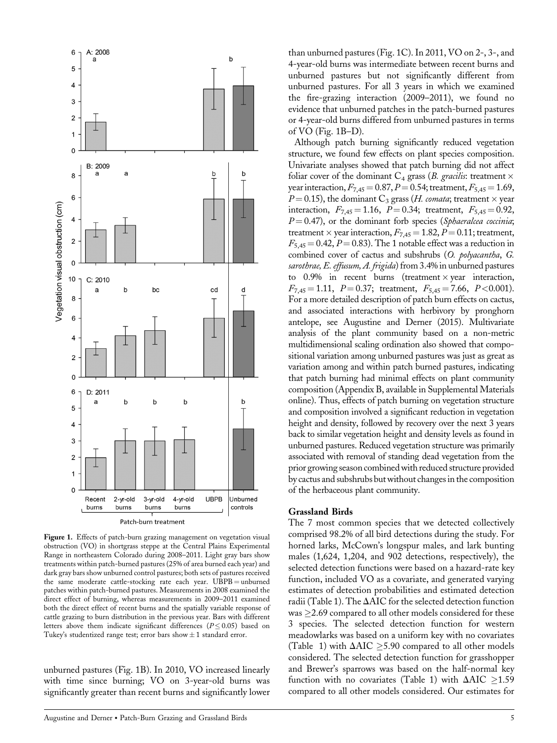

Figure 1. Effects of patch-burn grazing management on vegetation visual obstruction (VO) in shortgrass steppe at the Central Plains Experimental Range in northeastern Colorado during 2008–2011. Light gray bars show treatments within patch-burned pastures (25% of area burned each year) and dark gray bars show unburned control pastures; both sets of pastures received the same moderate cattle-stocking rate each year. UBPB = unburned patches within patch-burned pastures. Measurements in 2008 examined the direct effect of burning, whereas measurements in 2009–2011 examined both the direct effect of recent burns and the spatially variable response of cattle grazing to burn distribution in the previous year. Bars with different letters above them indicate significant differences ( $P \leq 0.05$ ) based on Tukey's studentized range test; error bars show  $\pm$  1 standard error.

unburned pastures (Fig. 1B). In 2010, VO increased linearly with time since burning; VO on 3-year-old burns was significantly greater than recent burns and significantly lower

than unburned pastures (Fig. 1C). In 2011, VO on 2-, 3-, and 4-year-old burns was intermediate between recent burns and unburned pastures but not significantly different from unburned pastures. For all 3 years in which we examined the fire-grazing interaction (2009–2011), we found no evidence that unburned patches in the patch-burned pastures or 4-year-old burns differed from unburned pastures in terms of VO (Fig. 1B–D).

Although patch burning significantly reduced vegetation structure, we found few effects on plant species composition. Univariate analyses showed that patch burning did not affect foliar cover of the dominant  $C_4$  grass (*B. gracilis:* treatment  $\times$ year interaction,  $F_{7,45} = 0.87, P = 0.54$ ; treatment,  $F_{5,45} = 1.69$ ,  $P$ =0.15), the dominant  $\text{C}_3$  grass (H. comata; treatment  $\times$  year interaction,  $F_{7,45} = 1.16$ ,  $P = 0.34$ ; treatment,  $F_{5,45} = 0.92$ ,  $P = 0.47$ ), or the dominant forb species (Sphaeralcea coccinia; treatment  $\times$  year interaction,  $F_{7,45} = 1.82, P = 0.11$ ; treatment,  $F_{5,45} = 0.42, P = 0.83$ . The 1 notable effect was a reduction in combined cover of cactus and subshrubs (O. polyacantha, G. sarothrae, E. effusum, A. frigida) from 3.4% in unburned pastures to  $0.9\%$  in recent burns (treatment  $\times$  year interaction,  $F_{7,45} = 1.11$ ,  $P = 0.37$ ; treatment,  $F_{5,45} = 7.66$ ,  $P < 0.001$ ). For a more detailed description of patch burn effects on cactus, and associated interactions with herbivory by pronghorn antelope, see Augustine and Derner (2015). Multivariate analysis of the plant community based on a non-metric multidimensional scaling ordination also showed that compositional variation among unburned pastures was just as great as variation among and within patch burned pastures, indicating that patch burning had minimal effects on plant community composition (Appendix B, available in Supplemental Materials online). Thus, effects of patch burning on vegetation structure and composition involved a significant reduction in vegetation height and density, followed by recovery over the next 3 years back to similar vegetation height and density levels as found in unburned pastures. Reduced vegetation structure was primarily associated with removal of standing dead vegetation from the prior growing season combined with reduced structure provided by cactus and subshrubs but without changes in the composition of the herbaceous plant community.

#### Grassland Birds

The 7 most common species that we detected collectively comprised 98.2% of all bird detections during the study. For horned larks, McCown's longspur males, and lark bunting males (1,624, 1,204, and 902 detections, respectively), the selected detection functions were based on a hazard-rate key function, included VO as a covariate, and generated varying estimates of detection probabilities and estimated detection radii (Table 1). The  $\Delta AIC$  for the selected detection function was  $\geq$ 2.69 compared to all other models considered for these 3 species. The selected detection function for western meadowlarks was based on a uniform key with no covariates (Table 1) with  $\Delta AIC \geq 5.90$  compared to all other models considered. The selected detection function for grasshopper and Brewer's sparrows was based on the half-normal key function with no covariates (Table 1) with  $\Delta AIC \ge 1.59$ compared to all other models considered. Our estimates for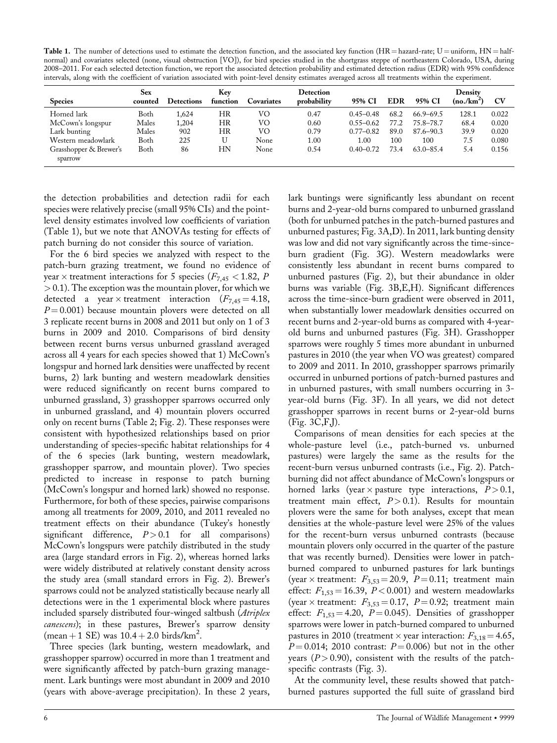Table 1. The number of detections used to estimate the detection function, and the associated key function (HR = hazard-rate; U = uniform, HN = halfnormal) and covariates selected (none, visual obstruction [VO]), for bird species studied in the shortgrass steppe of northeastern Colorado, USA, during 2008–2011. For each selected detection function, we report the associated detection probability and estimated detection radius (EDR) with 95% confidence intervals, along with the coefficient of variation associated with point-level density estimates averaged across all treatments within the experiment.

| <b>Species</b>         | Sex<br>counted | <b>Detections</b> | Key<br>function | Covariates | Detection<br>probability | 95% CI        | <b>EDR</b> | 95% CI        | Density<br>$(no/km^2)$ | <b>CV</b> |
|------------------------|----------------|-------------------|-----------------|------------|--------------------------|---------------|------------|---------------|------------------------|-----------|
| Horned lark            | Both           | 1.624             | HR              | VO         | 0.47                     | $0.45 - 0.48$ | 68.2       | $66.9 - 69.5$ | 128.1                  | 0.022     |
| McCown's longspur      | Males          | 1,204             | HR              | VO         | 0.60                     | $0.55 - 0.62$ | 77.2       | 75.8-78.7     | 68.4                   | 0.020     |
| Lark bunting           | Males          | 902               | HR              | VO         | 0.79                     | $0.77 - 0.82$ | 89.0       | $87.6 - 90.3$ | 39.9                   | 0.020     |
| Western meadowlark     | Both           | 225               | U               | None       | 1.00                     | 1.00          | 100        | 100           | 7.5                    | 0.080     |
| Grasshopper & Brewer's | Both           | 86                | HΝ              | None       | 0.54                     | $0.40 - 0.72$ | 73.4       | $63.0 - 85.4$ | 5.4                    | 0.156     |
| sparrow                |                |                   |                 |            |                          |               |            |               |                        |           |

the detection probabilities and detection radii for each species were relatively precise (small 95% CIs) and the pointlevel density estimates involved low coefficients of variation (Table 1), but we note that ANOVAs testing for effects of patch burning do not consider this source of variation.

For the 6 bird species we analyzed with respect to the patch-burn grazing treatment, we found no evidence of year  $\times$  treatment interactions for 5 species ( $F_{7,45}$  < 1.82, P > 0.1). The exception was the mountain plover, for which we detected a year  $\times$  treatment interaction ( $F_{7,45} = 4.18$ ,  $P = 0.001$ ) because mountain plovers were detected on all 3 replicate recent burns in 2008 and 2011 but only on 1 of 3 burns in 2009 and 2010. Comparisons of bird density between recent burns versus unburned grassland averaged across all 4 years for each species showed that 1) McCown's longspur and horned lark densities were unaffected by recent burns, 2) lark bunting and western meadowlark densities were reduced significantly on recent burns compared to unburned grassland, 3) grasshopper sparrows occurred only in unburned grassland, and 4) mountain plovers occurred only on recent burns (Table 2; Fig. 2). These responses were consistent with hypothesized relationships based on prior understanding of species-specific habitat relationships for 4 of the 6 species (lark bunting, western meadowlark, grasshopper sparrow, and mountain plover). Two species predicted to increase in response to patch burning (McCown's longspur and horned lark) showed no response. Furthermore, for both of these species, pairwise comparisons among all treatments for 2009, 2010, and 2011 revealed no treatment effects on their abundance (Tukey's honestly significant difference,  $P > 0.1$  for all comparisons) McCown's longspurs were patchily distributed in the study area (large standard errors in Fig. 2), whereas horned larks were widely distributed at relatively constant density across the study area (small standard errors in Fig. 2). Brewer's sparrows could not be analyzed statistically because nearly all detections were in the 1 experimental block where pastures included sparsely distributed four-winged saltbush (Atriplex canescens); in these pastures, Brewer's sparrow density  $(\text{mean} + 1 \text{ SE}) \text{ was } 10.4 + 2.0 \text{ birds/km}^2$ .

Three species (lark bunting, western meadowlark, and grasshopper sparrow) occurred in more than 1 treatment and were significantly affected by patch-burn grazing management. Lark buntings were most abundant in 2009 and 2010 (years with above-average precipitation). In these 2 years, lark buntings were significantly less abundant on recent burns and 2-year-old burns compared to unburned grassland (both for unburned patches in the patch-burned pastures and unburned pastures; Fig. 3A,D). In 2011, lark bunting density was low and did not vary significantly across the time-sinceburn gradient (Fig. 3G). Western meadowlarks were consistently less abundant in recent burns compared to unburned pastures (Fig. 2), but their abundance in older burns was variable (Fig. 3B,E,H). Significant differences across the time-since-burn gradient were observed in 2011, when substantially lower meadowlark densities occurred on recent burns and 2-year-old burns as compared with 4-yearold burns and unburned pastures (Fig. 3H). Grasshopper sparrows were roughly 5 times more abundant in unburned pastures in 2010 (the year when VO was greatest) compared to 2009 and 2011. In 2010, grasshopper sparrows primarily occurred in unburned portions of patch-burned pastures and in unburned pastures, with small numbers occurring in 3 year-old burns (Fig. 3F). In all years, we did not detect grasshopper sparrows in recent burns or 2-year-old burns (Fig. 3C,F,J).

Comparisons of mean densities for each species at the whole-pasture level (i.e., patch-burned vs. unburned pastures) were largely the same as the results for the recent-burn versus unburned contrasts (i.e., Fig. 2). Patchburning did not affect abundance of McCown's longspurs or horned larks (year  $\times$  pasture type interactions,  $P > 0.1$ , treatment main effect,  $P > 0.1$ ). Results for mountain plovers were the same for both analyses, except that mean densities at the whole-pasture level were 25% of the values for the recent-burn versus unburned contrasts (because mountain plovers only occurred in the quarter of the pasture that was recently burned). Densities were lower in patchburned compared to unburned pastures for lark buntings (year  $\times$  treatment:  $F_{3,53} = 20.9$ ,  $P = 0.11$ ; treatment main effect:  $F_{1,53} = 16.39$ ,  $P < 0.001$ ) and western meadowlarks (year  $\times$  treatment:  $F_{3,53} = 0.17$ ,  $P = 0.92$ ; treatment main effect:  $F_{1,53} = 4.20$ ,  $P = 0.045$ ). Densities of grasshopper sparrows were lower in patch-burned compared to unburned pastures in 2010 (treatment  $\times$  year interaction:  $F_{3,18} = 4.65$ ,  $P = 0.014$ ; 2010 contrast:  $P = 0.006$ ) but not in the other years  $(P > 0.90)$ , consistent with the results of the patchspecific contrasts (Fig. 3).

At the community level, these results showed that patchburned pastures supported the full suite of grassland bird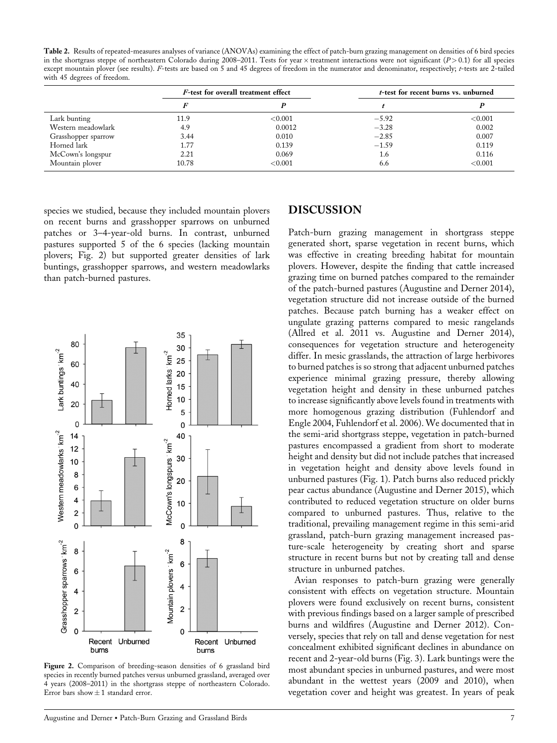Table 2. Results of repeated-measures analyses of variance (ANOVAs) examining the effect of patch-burn grazing management on densities of 6 bird species in the shortgrass steppe of northeastern Colorado during 2008-2011. Tests for year  $\times$  treatment interactions were not significant ( $P$  > 0.1) for all species except mountain plover (see results). F-tests are based on 5 and 45 degrees of freedom in the numerator and denominator, respectively; t-tests are 2-tailed with 45 degrees of freedom.

|                     |       | F-test for overall treatment effect | <i>t</i> -test for recent burns vs. unburned |         |  |  |
|---------------------|-------|-------------------------------------|----------------------------------------------|---------|--|--|
|                     |       |                                     |                                              |         |  |  |
| Lark bunting        | 11.9  | ${<}0.001$                          | $-5.92$                                      | < 0.001 |  |  |
| Western meadowlark  | 4.9   | 0.0012                              | $-3.28$                                      | 0.002   |  |  |
| Grasshopper sparrow | 3.44  | 0.010                               | $-2.85$                                      | 0.007   |  |  |
| Horned lark         | 1.77  | 0.139                               | $-1.59$                                      | 0.119   |  |  |
| McCown's longspur   | 2.21  | 0.069                               | 1.6                                          | 0.116   |  |  |
| Mountain plover     | 10.78 | < 0.001                             | 6.6                                          | < 0.001 |  |  |

species we studied, because they included mountain plovers on recent burns and grasshopper sparrows on unburned patches or 3–4-year-old burns. In contrast, unburned pastures supported 5 of the 6 species (lacking mountain plovers; Fig. 2) but supported greater densities of lark buntings, grasshopper sparrows, and western meadowlarks than patch-burned pastures.



Figure 2. Comparison of breeding-season densities of 6 grassland bird species in recently burned patches versus unburned grassland, averaged over 4 years (2008–2011) in the shortgrass steppe of northeastern Colorado. Error bars show  $\pm$  1 standard error.

#### DISCUSSION

Patch-burn grazing management in shortgrass steppe generated short, sparse vegetation in recent burns, which was effective in creating breeding habitat for mountain plovers. However, despite the finding that cattle increased grazing time on burned patches compared to the remainder of the patch-burned pastures (Augustine and Derner 2014), vegetation structure did not increase outside of the burned patches. Because patch burning has a weaker effect on ungulate grazing patterns compared to mesic rangelands (Allred et al. 2011 vs. Augustine and Derner 2014), consequences for vegetation structure and heterogeneity differ. In mesic grasslands, the attraction of large herbivores to burned patches is so strong that adjacent unburned patches experience minimal grazing pressure, thereby allowing vegetation height and density in these unburned patches to increase significantly above levels found in treatments with more homogenous grazing distribution (Fuhlendorf and Engle 2004, Fuhlendorf et al. 2006). We documented that in the semi-arid shortgrass steppe, vegetation in patch-burned pastures encompassed a gradient from short to moderate height and density but did not include patches that increased in vegetation height and density above levels found in unburned pastures (Fig. 1). Patch burns also reduced prickly pear cactus abundance (Augustine and Derner 2015), which contributed to reduced vegetation structure on older burns compared to unburned pastures. Thus, relative to the traditional, prevailing management regime in this semi-arid grassland, patch-burn grazing management increased pasture-scale heterogeneity by creating short and sparse structure in recent burns but not by creating tall and dense structure in unburned patches.

Avian responses to patch-burn grazing were generally consistent with effects on vegetation structure. Mountain plovers were found exclusively on recent burns, consistent with previous findings based on a larger sample of prescribed burns and wildfires (Augustine and Derner 2012). Conversely, species that rely on tall and dense vegetation for nest concealment exhibited significant declines in abundance on recent and 2-year-old burns (Fig. 3). Lark buntings were the most abundant species in unburned pastures, and were most abundant in the wettest years (2009 and 2010), when vegetation cover and height was greatest. In years of peak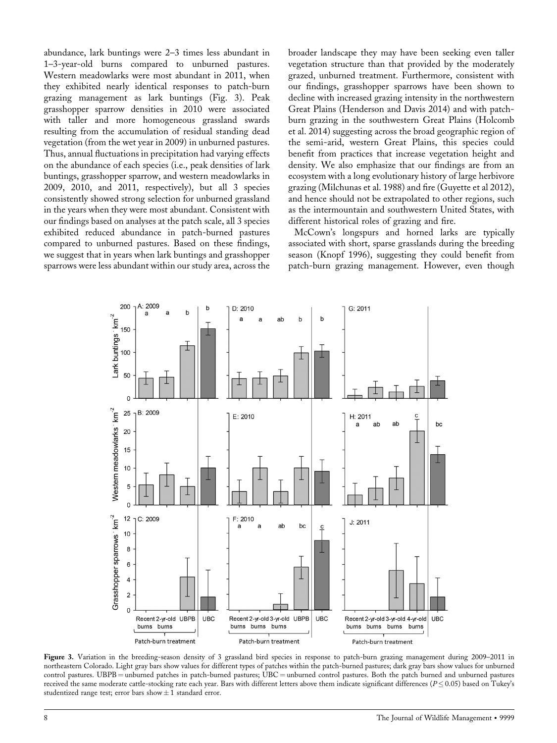abundance, lark buntings were 2–3 times less abundant in 1–3-year-old burns compared to unburned pastures. Western meadowlarks were most abundant in 2011, when they exhibited nearly identical responses to patch-burn grazing management as lark buntings (Fig. 3). Peak grasshopper sparrow densities in 2010 were associated with taller and more homogeneous grassland swards resulting from the accumulation of residual standing dead vegetation (from the wet year in 2009) in unburned pastures. Thus, annual fluctuations in precipitation had varying effects on the abundance of each species (i.e., peak densities of lark buntings, grasshopper sparrow, and western meadowlarks in 2009, 2010, and 2011, respectively), but all 3 species consistently showed strong selection for unburned grassland in the years when they were most abundant. Consistent with our findings based on analyses at the patch scale, all 3 species exhibited reduced abundance in patch-burned pastures compared to unburned pastures. Based on these findings, we suggest that in years when lark buntings and grasshopper sparrows were less abundant within our study area, across the

broader landscape they may have been seeking even taller vegetation structure than that provided by the moderately grazed, unburned treatment. Furthermore, consistent with our findings, grasshopper sparrows have been shown to decline with increased grazing intensity in the northwestern Great Plains (Henderson and Davis 2014) and with patchburn grazing in the southwestern Great Plains (Holcomb et al. 2014) suggesting across the broad geographic region of the semi-arid, western Great Plains, this species could benefit from practices that increase vegetation height and density. We also emphasize that our findings are from an ecosystem with a long evolutionary history of large herbivore grazing (Milchunas et al. 1988) and fire (Guyette et al 2012), and hence should not be extrapolated to other regions, such as the intermountain and southwestern United States, with different historical roles of grazing and fire.

McCown's longspurs and horned larks are typically associated with short, sparse grasslands during the breeding season (Knopf 1996), suggesting they could benefit from patch-burn grazing management. However, even though



Figure 3. Variation in the breeding-season density of 3 grassland bird species in response to patch-burn grazing management during 2009–2011 in northeastern Colorado. Light gray bars show values for different types of patches within the patch-burned pastures; dark gray bars show values for unburned control pastures. UBPB = unburned patches in patch-burned pastures; UBC = unburned control pastures. Both the patch burned and unburned pastures received the same moderate cattle-stocking rate each year. Bars with different letters above them indicate significant differences  $(P< 0.05)$  based on Tukey's studentized range test; error bars show  $\pm$  1 standard error.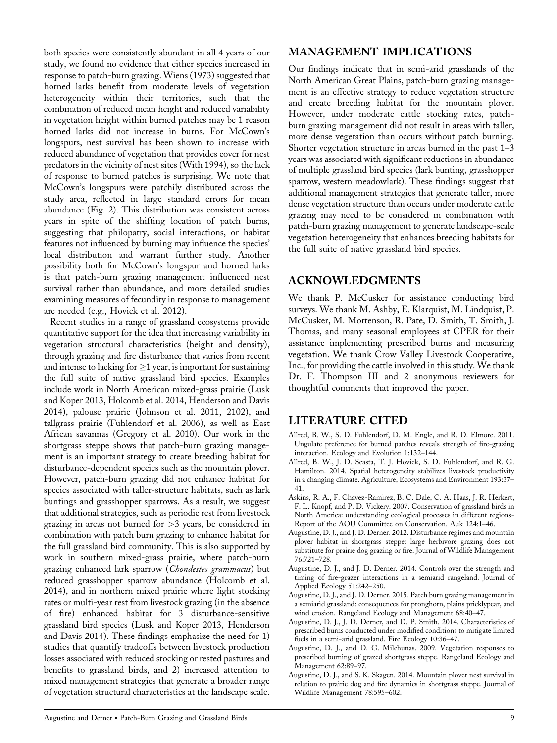both species were consistently abundant in all 4 years of our study, we found no evidence that either species increased in response to patch-burn grazing. Wiens (1973) suggested that horned larks benefit from moderate levels of vegetation heterogeneity within their territories, such that the combination of reduced mean height and reduced variability in vegetation height within burned patches may be 1 reason horned larks did not increase in burns. For McCown's longspurs, nest survival has been shown to increase with reduced abundance of vegetation that provides cover for nest predators in the vicinity of nest sites (With 1994), so the lack of response to burned patches is surprising. We note that McCown's longspurs were patchily distributed across the study area, reflected in large standard errors for mean abundance (Fig. 2). This distribution was consistent across years in spite of the shifting location of patch burns, suggesting that philopatry, social interactions, or habitat features not influenced by burning may influence the species' local distribution and warrant further study. Another possibility both for McCown's longspur and horned larks is that patch-burn grazing management influenced nest survival rather than abundance, and more detailed studies examining measures of fecundity in response to management are needed (e.g., Hovick et al. 2012).

Recent studies in a range of grassland ecosystems provide quantitative support for the idea that increasing variability in vegetation structural characteristics (height and density), through grazing and fire disturbance that varies from recent and intense to lacking for  $\geq$ 1 year, is important for sustaining the full suite of native grassland bird species. Examples include work in North American mixed-grass prairie (Lusk and Koper 2013, Holcomb et al. 2014, Henderson and Davis 2014), palouse prairie (Johnson et al. 2011, 2102), and tallgrass prairie (Fuhlendorf et al. 2006), as well as East African savannas (Gregory et al. 2010). Our work in the shortgrass steppe shows that patch-burn grazing management is an important strategy to create breeding habitat for disturbance-dependent species such as the mountain plover. However, patch-burn grazing did not enhance habitat for species associated with taller-structure habitats, such as lark buntings and grasshopper sparrows. As a result, we suggest that additional strategies, such as periodic rest from livestock grazing in areas not burned for >3 years, be considered in combination with patch burn grazing to enhance habitat for the full grassland bird community. This is also supported by work in southern mixed-grass prairie, where patch-burn grazing enhanced lark sparrow (Chondestes grammacus) but reduced grasshopper sparrow abundance (Holcomb et al. 2014), and in northern mixed prairie where light stocking rates or multi-year rest from livestock grazing (in the absence of fire) enhanced habitat for 3 disturbance-sensitive grassland bird species (Lusk and Koper 2013, Henderson and Davis 2014). These findings emphasize the need for 1) studies that quantify tradeoffs between livestock production losses associated with reduced stocking or rested pastures and benefits to grassland birds, and 2) increased attention to mixed management strategies that generate a broader range of vegetation structural characteristics at the landscape scale.

#### MANAGEMENT IMPLICATIONS

Our findings indicate that in semi-arid grasslands of the North American Great Plains, patch-burn grazing management is an effective strategy to reduce vegetation structure and create breeding habitat for the mountain plover. However, under moderate cattle stocking rates, patchburn grazing management did not result in areas with taller, more dense vegetation than occurs without patch burning. Shorter vegetation structure in areas burned in the past 1–3 years was associated with significant reductions in abundance of multiple grassland bird species (lark bunting, grasshopper sparrow, western meadowlark). These findings suggest that additional management strategies that generate taller, more dense vegetation structure than occurs under moderate cattle grazing may need to be considered in combination with patch-burn grazing management to generate landscape-scale vegetation heterogeneity that enhances breeding habitats for the full suite of native grassland bird species.

#### ACKNOWLEDGMENTS

We thank P. McCusker for assistance conducting bird surveys. We thank M. Ashby, E. Klarquist, M. Lindquist, P. McCusker, M. Mortenson, R. Pate, D. Smith, T. Smith, J. Thomas, and many seasonal employees at CPER for their assistance implementing prescribed burns and measuring vegetation. We thank Crow Valley Livestock Cooperative, Inc., for providing the cattle involved in this study. We thank Dr. F. Thompson III and 2 anonymous reviewers for thoughtful comments that improved the paper.

#### LITERATURE CITED

- Allred, B. W., S. D. Fuhlendorf, D. M. Engle, and R. D. Elmore. 2011. Ungulate preference for burned patches reveals strength of fire-grazing interaction. Ecology and Evolution 1:132–144.
- Allred, B. W., J. D. Scasta, T. J. Hovick, S. D. Fuhlendorf, and R. G. Hamilton. 2014. Spatial heterogeneity stabilizes livestock productivity in a changing climate. Agriculture, Ecosystems and Environment 193:37– 41.
- Askins, R. A., F. Chavez-Ramirez, B. C. Dale, C. A. Haas, J. R. Herkert, F. L. Knopf, and P. D. Vickery. 2007. Conservation of grassland birds in North America: understanding ecological processes in different regions-Report of the AOU Committee on Conservation. Auk 124:1–46.
- Augustine, D. J., and J. D. Derner. 2012. Disturbance regimes and mountain plover habitat in shortgrass steppe: large herbivore grazing does not substitute for prairie dog grazing or fire. Journal of Wildlife Management 76:721–728.
- Augustine, D. J., and J. D. Derner. 2014. Controls over the strength and timing of fire-grazer interactions in a semiarid rangeland. Journal of Applied Ecology 51:242–250.
- Augustine, D. J., and J. D. Derner. 2015. Patch burn grazing management in a semiarid grassland: consequences for pronghorn, plains pricklypear, and wind erosion. Rangeland Ecology and Management 68:40–47.
- Augustine, D. J., J. D. Derner, and D. P. Smith. 2014. Characteristics of prescribed burns conducted under modified conditions to mitigate limited fuels in a semi-arid grassland. Fire Ecology 10:36–47.
- Augustine, D. J., and D. G. Milchunas. 2009. Vegetation responses to prescribed burning of grazed shortgrass steppe. Rangeland Ecology and Management 62:89–97.
- Augustine, D. J., and S. K. Skagen. 2014. Mountain plover nest survival in relation to prairie dog and fire dynamics in shortgrass steppe. Journal of Wildlife Management 78:595–602.